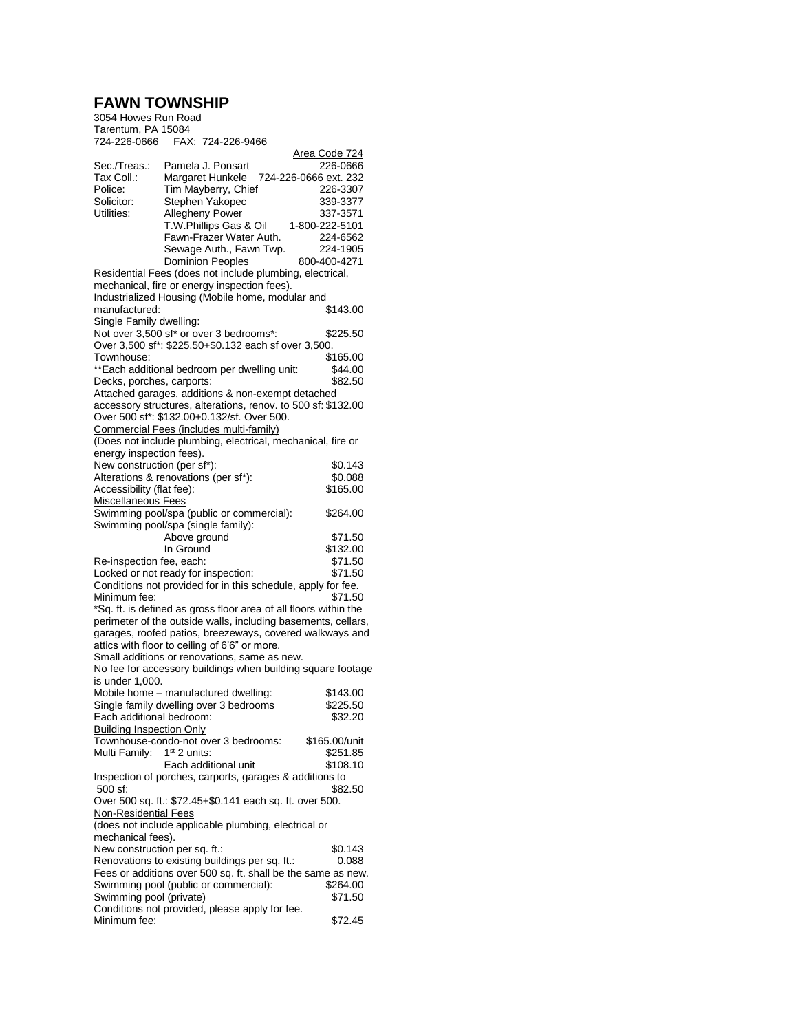## **FAWN TOWNSHIP**

| 3054 Howes Run Road                                                                                                               |                |                                                             |                                                               |  |  |
|-----------------------------------------------------------------------------------------------------------------------------------|----------------|-------------------------------------------------------------|---------------------------------------------------------------|--|--|
| Tarentum, PA 15084                                                                                                                |                |                                                             |                                                               |  |  |
| 724-226-0666                                                                                                                      |                | FAX: 724-226-9466                                           |                                                               |  |  |
|                                                                                                                                   |                |                                                             | Area Code 724                                                 |  |  |
| Sec./Treas.:                                                                                                                      |                | Pamela J. Ponsart                                           | 226-0666                                                      |  |  |
| Tax Coll.:                                                                                                                        |                | Margaret Hunkele                                            | 724-226-0666 ext. 232                                         |  |  |
| Police:                                                                                                                           |                | Tim Mayberry, Chief                                         | 226-3307                                                      |  |  |
| Solicitor:                                                                                                                        |                | Stephen Yakopec                                             | 339-3377                                                      |  |  |
| Utilities:                                                                                                                        |                | <b>Allegheny Power</b>                                      | 337-3571                                                      |  |  |
|                                                                                                                                   |                | T.W.Phillips Gas & Oil                                      | 1-800-222-5101                                                |  |  |
|                                                                                                                                   |                | Fawn-Frazer Water Auth.                                     | 224-6562                                                      |  |  |
|                                                                                                                                   |                | Sewage Auth., Fawn Twp.                                     | 224-1905                                                      |  |  |
|                                                                                                                                   |                | <b>Dominion Peoples</b>                                     | 800-400-4271                                                  |  |  |
|                                                                                                                                   |                | Residential Fees (does not include plumbing, electrical,    |                                                               |  |  |
|                                                                                                                                   |                | mechanical, fire or energy inspection fees).                |                                                               |  |  |
|                                                                                                                                   |                | Industrialized Housing (Mobile home, modular and            |                                                               |  |  |
| manufactured:                                                                                                                     |                |                                                             | \$143.00                                                      |  |  |
| Single Family dwelling:                                                                                                           |                |                                                             |                                                               |  |  |
|                                                                                                                                   |                | Not over 3,500 sf* or over 3 bedrooms*:                     | \$225.50                                                      |  |  |
| Over 3,500 sf*: \$225.50+\$0.132 each sf over 3,500.                                                                              |                |                                                             |                                                               |  |  |
| Townhouse:                                                                                                                        |                |                                                             | \$165.00                                                      |  |  |
|                                                                                                                                   |                | **Each additional bedroom per dwelling unit:                | \$44.00                                                       |  |  |
| Decks, porches, carports:                                                                                                         |                |                                                             | \$82.50                                                       |  |  |
|                                                                                                                                   |                | Attached garages, additions & non-exempt detached           |                                                               |  |  |
|                                                                                                                                   |                | Over 500 sf*: \$132.00+0.132/sf. Over 500.                  | accessory structures, alterations, renov. to 500 sf: \$132.00 |  |  |
|                                                                                                                                   |                | Commercial Fees (includes multi-family)                     |                                                               |  |  |
|                                                                                                                                   |                |                                                             |                                                               |  |  |
| energy inspection fees).                                                                                                          |                | (Does not include plumbing, electrical, mechanical, fire or |                                                               |  |  |
| New construction (per sf*):                                                                                                       |                |                                                             | \$0.143                                                       |  |  |
| Alterations & renovations (per sf*):                                                                                              |                |                                                             | \$0.088                                                       |  |  |
| Accessibility (flat fee):                                                                                                         |                |                                                             | \$165.00                                                      |  |  |
| <b>Miscellaneous Fees</b>                                                                                                         |                |                                                             |                                                               |  |  |
|                                                                                                                                   |                | Swimming pool/spa (public or commercial):                   | \$264.00                                                      |  |  |
| Swimming pool/spa (single family):                                                                                                |                |                                                             |                                                               |  |  |
|                                                                                                                                   | Above ground   |                                                             | \$71.50                                                       |  |  |
|                                                                                                                                   | In Ground      |                                                             | \$132.00                                                      |  |  |
| Re-inspection fee, each:                                                                                                          |                |                                                             | \$71.50                                                       |  |  |
| Locked or not ready for inspection:<br>\$71.50                                                                                    |                |                                                             |                                                               |  |  |
| Conditions not provided for in this schedule, apply for fee.                                                                      |                |                                                             |                                                               |  |  |
| Minimum fee:<br>\$71.50                                                                                                           |                |                                                             |                                                               |  |  |
|                                                                                                                                   |                |                                                             |                                                               |  |  |
| *Sq. ft. is defined as gross floor area of all floors within the<br>perimeter of the outside walls, including basements, cellars, |                |                                                             |                                                               |  |  |
|                                                                                                                                   |                |                                                             | garages, roofed patios, breezeways, covered walkways and      |  |  |
| attics with floor to ceiling of 6'6" or more.                                                                                     |                |                                                             |                                                               |  |  |
|                                                                                                                                   |                | Small additions or renovations, same as new.                |                                                               |  |  |
|                                                                                                                                   |                |                                                             | No fee for accessory buildings when building square footage   |  |  |
| is under 1,000.                                                                                                                   |                |                                                             |                                                               |  |  |
|                                                                                                                                   |                | Mobile home - manufactured dwelling:                        | \$143.00                                                      |  |  |
|                                                                                                                                   |                | Single family dwelling over 3 bedrooms                      | \$225.50                                                      |  |  |
| Each additional bedroom:                                                                                                          |                |                                                             | \$32.20                                                       |  |  |
| <b>Building Inspection Only</b>                                                                                                   |                |                                                             |                                                               |  |  |
|                                                                                                                                   |                | Townhouse-condo-not over 3 bedrooms:                        | \$165.00/unit                                                 |  |  |
| Multi Family:                                                                                                                     | $1st$ 2 units: |                                                             | \$251.85                                                      |  |  |
|                                                                                                                                   |                | Each additional unit                                        | \$108.10                                                      |  |  |
|                                                                                                                                   |                | Inspection of porches, carports, garages & additions to     |                                                               |  |  |
| 500 sf:                                                                                                                           |                |                                                             | \$82.50                                                       |  |  |
|                                                                                                                                   |                | Over 500 sq. ft.: \$72.45+\$0.141 each sq. ft. over 500.    |                                                               |  |  |
| <b>Non-Residential Fees</b>                                                                                                       |                |                                                             |                                                               |  |  |
|                                                                                                                                   |                | (does not include applicable plumbing, electrical or        |                                                               |  |  |
| mechanical fees).                                                                                                                 |                |                                                             |                                                               |  |  |
| New construction per sq. ft.:                                                                                                     |                |                                                             | \$0.143                                                       |  |  |
| Renovations to existing buildings per sq. ft.:<br>0.088                                                                           |                |                                                             |                                                               |  |  |
|                                                                                                                                   |                |                                                             | Fees or additions over 500 sq. ft. shall be the same as new.  |  |  |
|                                                                                                                                   |                | Swimming pool (public or commercial):                       | \$264.00                                                      |  |  |
| Swimming pool (private)<br>\$71.50                                                                                                |                |                                                             |                                                               |  |  |
| Conditions not provided, please apply for fee.                                                                                    |                |                                                             |                                                               |  |  |
| Minimum fee:                                                                                                                      |                |                                                             | \$72.45                                                       |  |  |